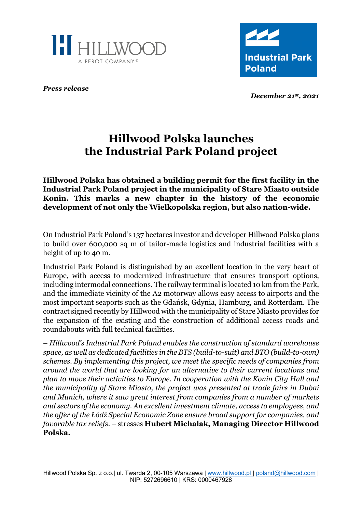



*Press release*

*December 21st, 2021*

# **Hillwood Polska launches the Industrial Park Poland project**

**Hillwood Polska has obtained a building permit for the first facility in the Industrial Park Poland project in the municipality of Stare Miasto outside Konin. This marks a new chapter in the history of the economic development of not only the Wielkopolska region, but also nation-wide.**

On Industrial Park Poland's 137 hectares investor and developer Hillwood Polska plans to build over 600,000 sq m of tailor-made logistics and industrial facilities with a height of up to 40 m.

Industrial Park Poland is distinguished by an excellent location in the very heart of Europe, with access to modernized infrastructure that ensures transport options, including intermodal connections. The railway terminal is located 10 km from the Park, and the immediate vicinity of the A2 motorway allows easy access to airports and the most important seaports such as the Gdańsk, Gdynia, Hamburg, and Rotterdam. The contract signed recently by Hillwood with the municipality of Stare Miasto provides for the expansion of the existing and the construction of additional access roads and roundabouts with full technical facilities.

– *Hillwood's Industrial Park Poland enables the construction of standard warehouse space, as well as dedicated facilities in the BTS (build-to-suit) and BTO (build-to-own) schemes. By implementing this project, we meet the specific needs of companies from around the world that are looking for an alternative to their current locations and plan to move their activities to Europe. In cooperation with the Konin City Hall and the municipality of Stare Miasto, the project was presented at trade fairs in Dubai and Munich, where it saw great interest from companies from a number of markets and sectors of the economy. An excellent investment climate, access to employees, and the offer of the Łódź Special Economic Zone ensure broad support for companies, and favorable tax reliefs*. – stresses **Hubert Michalak, Managing Director Hillwood Polska.**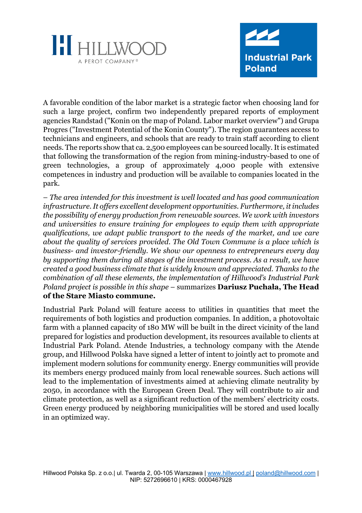



A favorable condition of the labor market is a strategic factor when choosing land for such a large project, confirm two independently prepared reports of employment agencies Randstad ("Konin on the map of Poland. Labor market overview") and Grupa Progres ("Investment Potential of the Konin County"). The region guarantees access to technicians and engineers, and schools that are ready to train staff according to client needs. The reports show that ca. 2,500 employees can be sourced locally. It is estimated that following the transformation of the region from mining-industry-based to one of green technologies, a group of approximately 4,000 people with extensive competences in industry and production will be available to companies located in the park.

– *The area intended for this investment is well located and has good communication infrastructure. It offers excellent development opportunities. Furthermore, it includes the possibility of energy production from renewable sources. We work with investors and universities to ensure training for employees to equip them with appropriate qualifications, we adapt public transport to the needs of the market, and we care about the quality of services provided. The Old Town Commune is a place which is business- and investor-friendly. We show our openness to entrepreneurs every day by supporting them during all stages of the investment process. As a result, we have created a good business climate that is widely known and appreciated. Thanks to the combination of all these elements, the implementation of Hillwood's Industrial Park Poland project is possible in this shape* – summarizes **Dariusz Puchała, The Head of the Stare Miasto commune.**

Industrial Park Poland will feature access to utilities in quantities that meet the requirements of both logistics and production companies. In addition, a photovoltaic farm with a planned capacity of 180 MW will be built in the direct vicinity of the land prepared for logistics and production development, its resources available to clients at Industrial Park Poland. Atende Industries, a technology company with the Atende group, and Hillwood Polska have signed a letter of intent to jointly act to promote and implement modern solutions for community energy. Energy communities will provide its members energy produced mainly from local renewable sources. Such actions will lead to the implementation of investments aimed at achieving climate neutrality by 2050, in accordance with the European Green Deal. They will contribute to air and climate protection, as well as a significant reduction of the members' electricity costs. Green energy produced by neighboring municipalities will be stored and used locally in an optimized way.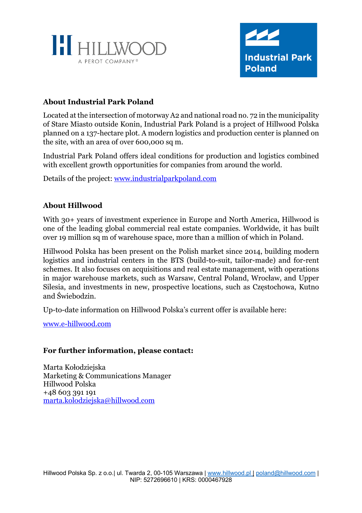



## **About Industrial Park Poland**

Located at the intersection of motorway A2 and national road no. 72 in the municipality of Stare Miasto outside Konin, Industrial Park Poland is a project of Hillwood Polska planned on a 137-hectare plot. A modern logistics and production center is planned on the site, with an area of over 600,000 sq m.

Industrial Park Poland offers ideal conditions for production and logistics combined with excellent growth opportunities for companies from around the world.

Details of the project: www.industrialparkpoland.com

### **About Hillwood**

With 30+ years of investment experience in Europe and North America, Hillwood is one of the leading global commercial real estate companies. Worldwide, it has built over 19 million sq m of warehouse space, more than a million of which in Poland.

Hillwood Polska has been present on the Polish market since 2014, building modern logistics and industrial centers in the BTS (build-to-suit, tailor-made) and for-rent schemes. It also focuses on acquisitions and real estate management, with operations in major warehouse markets, such as Warsaw, Central Poland, Wrocław, and Upper Silesia, and investments in new, prospective locations, such as Częstochowa, Kutno and Świebodzin.

Up-to-date information on Hillwood Polska's current offer is available here:

www.e-hillwood.com

#### **For further information, please contact:**

Marta Kołodziejska Marketing & Communications Manager Hillwood Polska +48 603 391 191 marta.kolodziejska@hillwood.com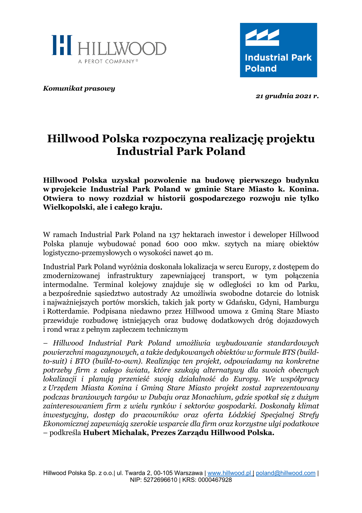



*Komunikat prasowy*

*21 grudnia 2021 r.*

# **Hillwood Polska rozpoczyna realizację projektu Industrial Park Poland**

**Hillwood Polska uzyskał pozwolenie na budowę pierwszego budynku w projekcie Industrial Park Poland w gminie Stare Miasto k. Konina. Otwiera to nowy rozdział w historii gospodarczego rozwoju nie tylko Wielkopolski, ale i całego kraju.**

W ramach Industrial Park Poland na 137 hektarach inwestor i deweloper Hillwood Polska planuje wybudować ponad 600 000 mkw. szytych na miarę obiektów logistyczno-przemysłowych o wysokości nawet 40 m.

Industrial Park Poland wyróżnia doskonała lokalizacja w sercu Europy, z dostępem do zmodernizowanej infrastruktury zapewniającej transport, w tym połączenia intermodalne. Terminal kolejowy znajduje się w odległości 10 km od Parku, a bezpośrednie sąsiedztwo autostrady A2 umożliwia swobodne dotarcie do lotnisk i najważniejszych portów morskich, takich jak porty w Gdańsku, Gdyni, Hamburgu i Rotterdamie. Podpisana niedawno przez Hillwood umowa z Gminą Stare Miasto przewiduje rozbudowę istniejących oraz budowę dodatkowych dróg dojazdowych i rond wraz z pełnym zapleczem technicznym

*– Hillwood Industrial Park Poland umożliwia wybudowanie standardowych powierzchni magazynowych, a także dedykowanych obiektów w formule BTS (buildto-suit) i BTO (build-to-own). Realizując ten projekt, odpowiadamy na konkretne potrzeby firm z całego świata, które szukają alternatywy dla swoich obecnych lokalizacji i planują przenieść swoją działalność do Europy. We współpracy z Urzędem Miasta Konina i Gminą Stare Miasto projekt został zaprezentowany podczas branżowych targów w Dubaju oraz Monachium, gdzie spotkał się z dużym zainteresowaniem firm z wielu rynków i sektorów gospodarki. Doskonały klimat inwestycyjny, dostęp do pracowników oraz oferta Łódzkiej Specjalnej Strefy Ekonomicznej zapewniają szerokie wsparcie dla firm oraz korzystne ulgi podatkowe* – podkreśla **Hubert Michalak, Prezes Zarządu Hillwood Polska.**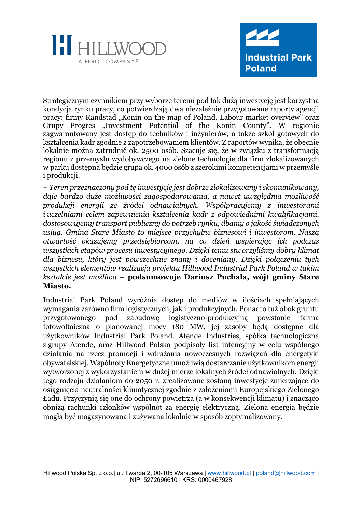



Strategicznym czynnikiem przy wyborze terenu pod tak dużą inwestycję jest korzystna kondycja rynku pracy, co potwierdzają dwa niezależnie przygotowane raporty agencji pracy: firmy Randstad "Konin on the map of Poland. Labour market overview" oraz Grupy Progres "Investment Potential of the Konin County". W regionie zagwarantowany jest dostęp do techników i inżynierów, a także szkół gotowych do kształcenia kadr zgodnie z zapotrzebowaniem klientów. Z raportów wynika, że obecnie lokalnie można zatrudnić ok. 2500 osób. Szacuje się, że w związku z transformacją regionu z przemysłu wydobywczego na zielone technologie dla firm zlokalizowanych w parku dostępna będzie grupa ok. 4000 osób z szerokimi kompetencjami w przemyśle i produkcji.

*– Teren przeznaczony pod tę inwestycję jest dobrze zlokalizowany i skomunikowany, daje bardzo duże możliwości zagospodarowania, a nawet uwzględnia możliwość produkcji energii ze źródeł odnawialnych. Współpracujemy z inwestorami i uczelniami celem zapewnienia kształcenia kadr z odpowiednimi kwalifikacjami, dostosowujemy transport publiczny do potrzeb rynku, dbamy o jakość świadczonych usług. Gmina Stare Miasto to miejsce przychylne biznesowi i inwestorom. Naszą otwartość okazujemy przedsiębiorcom, na co dzień wspierając ich podczas wszystkich etapów procesu inwestycyjnego. Dzięki temu stworzyliśmy dobry klimat dla biznesu, który jest powszechnie znany i doceniany. Dzięki połączeniu tych wszystkich elementów realizacja projektu Hillwood Industrial Park Poland w takim kształcie jest możliwa* – **podsumowuje Dariusz Puchała, wójt gminy Stare Miasto.**

Industrial Park Poland wyróżnia dostęp do mediów w ilościach spełniających wymagania zarówno firm logistycznych, jak i produkcyjnych. Ponadto tuż obok gruntu przygotowanego pod zabudowę logistyczno-produkcyjną powstanie farma fotowoltaiczna o planowanej mocy 180 MW, jej zasoby będą dostępne dla użytkowników Industrial Park Poland. Atende Industries, spółka technologiczna z grupy Atende, oraz Hillwood Polska podpisały list intencyjny w celu wspólnego działania na rzecz promocji i wdrażania nowoczesnych rozwiązań dla energetyki obywatelskiej. Wspólnoty Energetyczne umożliwią dostarczanie użytkownikom energii wytworzonej z wykorzystaniem w dużej mierze lokalnych źródeł odnawialnych. Dzięki tego rodzaju działaniom do 2050 r. zrealizowane zostaną inwestycje zmierzające do osiągnięcia neutralności klimatycznej zgodnie z założeniami Europejskiego Zielonego Ładu. Przyczynią się one do ochrony powietrza (a w konsekwencji klimatu) i znacząco obniżą rachunki członków wspólnot za energię elektryczną. Zielona energia będzie mogła być magazynowana i zużywana lokalnie w sposób zoptymalizowany.